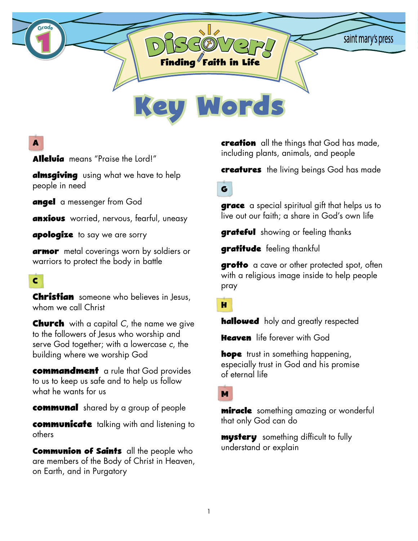

# **A**

**Alleluia** means "Praise the Lord!"

**almsgiving** using what we have to help people in need

**angel** a messenger from God

**anxious** worried, nervous, fearful, uneasy

**apologize** to say we are sorry

**armor** metal coverings worn by soldiers or warriors to protect the body in battle

## **C**

**Christian** someone who believes in Jesus, whom we call Christ

**Church** with a capital *C*, the name we give to the followers of Jesus who worship and serve God together; with a lowercase *c*, the building where we worship God

**commandment** a rule that God provides to us to keep us safe and to help us follow what he wants for us

**communal** shared by a group of people

**communicate** talking with and listening to others

**Communion of Saints** all the people who are members of the Body of Christ in Heaven, on Earth, and in Purgatory

**creation** all the things that God has made, including plants, animals, and people

**creatures** the living beings God has made

**G**

**grace** a special spiritual gift that helps us to live out our faith; a share in God's own life

**grateful** showing or feeling thanks

**gratitude** feeling thankful

**grotto** a cave or other protected spot, often with a religious image inside to help people pray

#### **H**

**hallowed** holy and greatly respected

**Heaven** life forever with God

**hope** trust in something happening, especially trust in God and his promise of eternal life

**M**

**miracle** something amazing or wonderful that only God can do

**mystery** something difficult to fully understand or explain